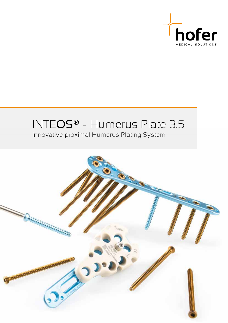

# INTEOS® - Humerus Plate 3.5

innovative proximal Humerus Plating System

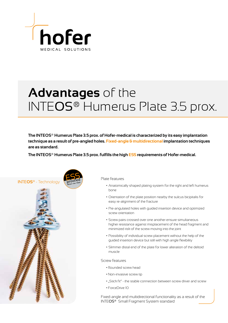

# **Advantages** of the INTEOS® Humerus Plate 3.5 prox.

**The INTEOS® Humerus Plate 3.5 prox. of Hofer-medical is characterized by its easy implantation technique as a result of pre-angled holes. Fixed-angle & multidirectional implantation techniques are as standard.**

**The INTEOS® Humerus Plate 3.5 prox. fulfills the high ESS requirements of Hofer-medical.**



Plate features

- Anatomically shaped plating system for the right and left humerus bone
- Orientation of the plate position nearby the sulcus bicipitalis for easy re-alignment of the fracture
- Pre-angulated holes with guided insertion device and optimized screw orientation
- Screw pairs crossed over one another ensure simultaneous higher resistance against misplacement of the head fragment and minimized risk of the screw moving into the joint
- Possibility of individual screw placement without the help of the guided insertion device but still with high angle flexibility
- Slimmer distal end of the plate for lower alteration of the deltoid muscle

### Screw features

- Rounded screw head
- Non-invasive screw tip
- "Stick fit" the stable connection between screw driver and screw
- ForceDrive 10

Fixed-angle and multidirectional functionality as a result of the INTEOS® Small Fragment System standard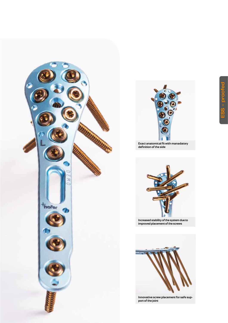



**Exact anatomical fit with manadatory definition of the side**



**Increased stability of the system due to improved placement of the screws**



**Innovative screw placement for safe support of the joint**